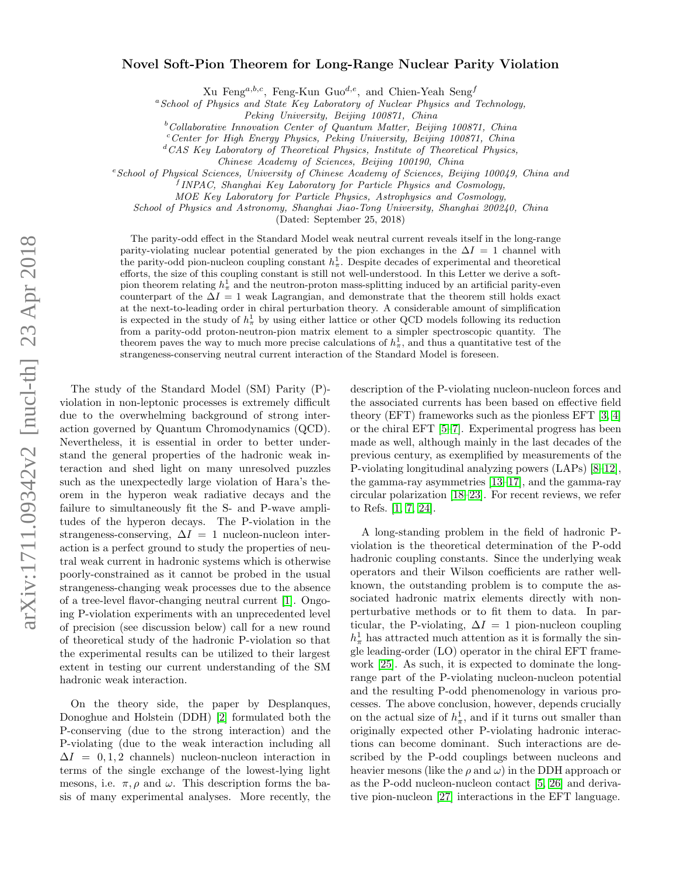## Novel Soft-Pion Theorem for Long-Range Nuclear Parity Violation

Xu Feng<sup>a,b,c</sup>, Feng-Kun Guo<sup>d,e</sup>, and Chien-Yeah Seng<sup>f</sup>

<sup>a</sup>School of Physics and State Key Laboratory of Nuclear Physics and Technology,

 $b$ Collaborative Innovation Center of Quantum Matter, Beijing 100871, China

 $c$ <sup>c</sup>Center for High Energy Physics, Peking University, Beijing 100871, China

 ${}^dCAS$  Key Laboratory of Theoretical Physics, Institute of Theoretical Physics,

Chinese Academy of Sciences, Beijing 100190, China

<sup>e</sup> School of Physical Sciences, University of Chinese Academy of Sciences, Beijing 100049, China and

<sup>f</sup> INPAC, Shanghai Key Laboratory for Particle Physics and Cosmology,

MOE Key Laboratory for Particle Physics, Astrophysics and Cosmology,

School of Physics and Astronomy, Shanghai Jiao-Tong University, Shanghai 200240, China

(Dated: September 25, 2018)

The parity-odd effect in the Standard Model weak neutral current reveals itself in the long-range parity-violating nuclear potential generated by the pion exchanges in the  $\Delta I = 1$  channel with the parity-odd pion-nucleon coupling constant  $h_{\pi}^1$ . Despite decades of experimental and theoretical efforts, the size of this coupling constant is still not well-understood. In this Letter we derive a softpion theorem relating  $h_{\pi}^1$  and the neutron-proton mass-splitting induced by an artificial parity-even counterpart of the  $\Delta I = 1$  weak Lagrangian, and demonstrate that the theorem still holds exact at the next-to-leading order in chiral perturbation theory. A considerable amount of simplification is expected in the study of  $h_{\pi}^1$  by using either lattice or other QCD models following its reduction from a parity-odd proton-neutron-pion matrix element to a simpler spectroscopic quantity. The theorem paves the way to much more precise calculations of  $h_{\pi}^{1}$ , and thus a quantitative test of the strangeness-conserving neutral current interaction of the Standard Model is foreseen.

The study of the Standard Model (SM) Parity (P) violation in non-leptonic processes is extremely difficult due to the overwhelming background of strong interaction governed by Quantum Chromodynamics (QCD). Nevertheless, it is essential in order to better understand the general properties of the hadronic weak interaction and shed light on many unresolved puzzles such as the unexpectedly large violation of Hara's theorem in the hyperon weak radiative decays and the failure to simultaneously fit the S- and P-wave amplitudes of the hyperon decays. The P-violation in the strangeness-conserving,  $\Delta I = 1$  nucleon-nucleon interaction is a perfect ground to study the properties of neutral weak current in hadronic systems which is otherwise poorly-constrained as it cannot be probed in the usual strangeness-changing weak processes due to the absence of a tree-level flavor-changing neutral current [\[1\]](#page-4-0). Ongoing P-violation experiments with an unprecedented level of precision (see discussion below) call for a new round of theoretical study of the hadronic P-violation so that the experimental results can be utilized to their largest extent in testing our current understanding of the SM hadronic weak interaction.

On the theory side, the paper by Desplanques, Donoghue and Holstein (DDH) [\[2\]](#page-4-1) formulated both the P-conserving (due to the strong interaction) and the P-violating (due to the weak interaction including all  $\Delta I = 0, 1, 2$  channels) nucleon-nucleon interaction in terms of the single exchange of the lowest-lying light mesons, i.e.  $\pi$ ,  $\rho$  and  $\omega$ . This description forms the basis of many experimental analyses. More recently, the description of the P-violating nucleon-nucleon forces and the associated currents has been based on effective field theory (EFT) frameworks such as the pionless EFT [\[3,](#page-4-2) [4\]](#page-4-3) or the chiral EFT [\[5](#page-4-4)[–7\]](#page-4-5). Experimental progress has been made as well, although mainly in the last decades of the previous century, as exemplified by measurements of the P-violating longitudinal analyzing powers (LAPs) [\[8–](#page-4-6)[12\]](#page-5-0), the gamma-ray asymmetries [\[13–](#page-5-1)[17\]](#page-5-2), and the gamma-ray circular polarization [\[18–](#page-5-3)[23\]](#page-5-4). For recent reviews, we refer to Refs. [\[1,](#page-4-0) [7,](#page-4-5) [24\]](#page-5-5).

A long-standing problem in the field of hadronic Pviolation is the theoretical determination of the P-odd hadronic coupling constants. Since the underlying weak operators and their Wilson coefficients are rather wellknown, the outstanding problem is to compute the associated hadronic matrix elements directly with nonperturbative methods or to fit them to data. In particular, the P-violating,  $\Delta I = 1$  pion-nucleon coupling  $h_{\pi}^1$  has attracted much attention as it is formally the single leading-order (LO) operator in the chiral EFT framework [\[25\]](#page-5-6). As such, it is expected to dominate the longrange part of the P-violating nucleon-nucleon potential and the resulting P-odd phenomenology in various processes. The above conclusion, however, depends crucially on the actual size of  $h_{\pi}^1$ , and if it turns out smaller than originally expected other P-violating hadronic interactions can become dominant. Such interactions are described by the P-odd couplings between nucleons and heavier mesons (like the  $\rho$  and  $\omega$ ) in the DDH approach or as the P-odd nucleon-nucleon contact [\[5,](#page-4-4) [26\]](#page-5-7) and derivative pion-nucleon [\[27\]](#page-5-8) interactions in the EFT language.

Peking University, Beijing 100871, China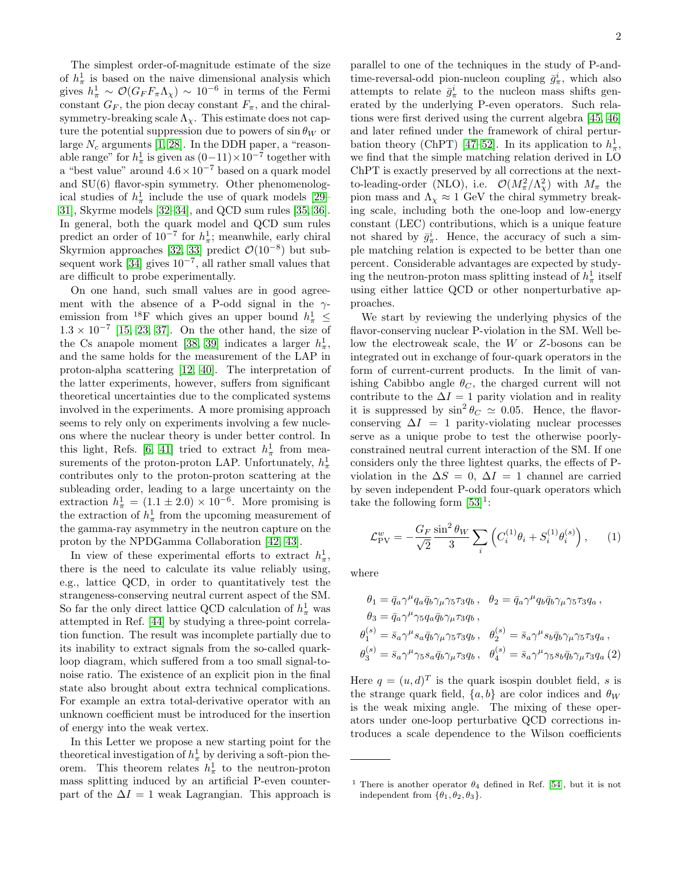The simplest order-of-magnitude estimate of the size of  $h_{\pi}^1$  is based on the naive dimensional analysis which gives  $h_{\pi}^1 \sim \mathcal{O}(G_F F_{\pi} \Lambda_{\chi}) \sim 10^{-6}$  in terms of the Fermi constant  $G_F$ , the pion decay constant  $F_{\pi}$ , and the chiralsymmetry-breaking scale  $\Lambda_{\chi}$ . This estimate does not capture the potential suppression due to powers of  $\sin \theta_W$  or large  $N_c$  arguments [\[1,](#page-4-0) [28\]](#page-5-9). In the DDH paper, a "reasonable range" for  $h_{\pi}^1$  is given as  $(0-11) \times 10^{-7}$  together with a "best value" around  $4.6 \times 10^{-7}$  based on a quark model and SU(6) flavor-spin symmetry. Other phenomenological studies of  $h_{\pi}^1$  include the use of quark models [\[29–](#page-5-10) [31\]](#page-5-11), Skyrme models [\[32–](#page-5-12)[34\]](#page-5-13), and QCD sum rules [\[35,](#page-5-14) [36\]](#page-5-15). In general, both the quark model and QCD sum rules predict an order of  $10^{-7}$  for  $h_{\pi}^{1}$ ; meanwhile, early chiral Skyrmion approaches [\[32,](#page-5-12) [33\]](#page-5-16) predict  $\mathcal{O}(10^{-8})$  but sub-sequent work [\[34\]](#page-5-13) gives  $10^{-7}$ , all rather small values that are difficult to probe experimentally.

On one hand, such small values are in good agreement with the absence of a P-odd signal in the  $\gamma$ emission from <sup>18</sup>F which gives an upper bound  $h^1_\pi$   $\leq$  $1.3 \times 10^{-7}$  [\[15,](#page-5-17) [23,](#page-5-4) [37\]](#page-5-18). On the other hand, the size of the Cs anapole moment [\[38,](#page-5-19) [39\]](#page-5-20) indicates a larger  $h_{\pi}^1$ , and the same holds for the measurement of the LAP in proton-alpha scattering [\[12,](#page-5-0) [40\]](#page-5-21). The interpretation of the latter experiments, however, suffers from significant theoretical uncertainties due to the complicated systems involved in the experiments. A more promising approach seems to rely only on experiments involving a few nucleons where the nuclear theory is under better control. In this light, Refs. [\[6,](#page-4-7) [41\]](#page-5-22) tried to extract  $h^1_\pi$  from measurements of the proton-proton LAP. Unfortunately,  $h_{\pi}^1$ contributes only to the proton-proton scattering at the subleading order, leading to a large uncertainty on the extraction  $h_{\pi}^1 = (1.1 \pm 2.0) \times 10^{-6}$ . More promising is the extraction of  $h_{\pi}^1$  from the upcoming measurement of the gamma-ray asymmetry in the neutron capture on the proton by the NPDGamma Collaboration [\[42,](#page-5-23) [43\]](#page-5-24).

In view of these experimental efforts to extract  $h_{\pi}^1$ , there is the need to calculate its value reliably using, e.g., lattice QCD, in order to quantitatively test the strangeness-conserving neutral current aspect of the SM. So far the only direct lattice QCD calculation of  $h^1_\pi$  was attempted in Ref. [\[44\]](#page-5-25) by studying a three-point correlation function. The result was incomplete partially due to its inability to extract signals from the so-called quarkloop diagram, which suffered from a too small signal-tonoise ratio. The existence of an explicit pion in the final state also brought about extra technical complications. For example an extra total-derivative operator with an unknown coefficient must be introduced for the insertion of energy into the weak vertex.

In this Letter we propose a new starting point for the theoretical investigation of  $h^1_\pi$  by deriving a soft-pion theorem. This theorem relates  $h_{\pi}^1$  to the neutron-proton mass splitting induced by an artificial P-even counterpart of the  $\Delta I = 1$  weak Lagrangian. This approach is

parallel to one of the techniques in the study of P-andtime-reversal-odd pion-nucleon coupling  $\bar{g}_{\pi}^{i}$ , which also attempts to relate  $\bar{g}^i_\pi$  to the nucleon mass shifts generated by the underlying P-even operators. Such relations were first derived using the current algebra [\[45,](#page-5-26) [46\]](#page-5-27) and later refined under the framework of chiral pertur-bation theory (ChPT) [\[47–](#page-5-28)[52\]](#page-5-29). In its application to  $h_{\pi}^1$ , we find that the simple matching relation derived in LO ChPT is exactly preserved by all corrections at the nextto-leading-order (NLO), i.e.  $\mathcal{O}(M_\pi^2/\Lambda_\chi^2)$  with  $M_\pi$  the pion mass and  $\Lambda_{\chi} \approx 1$  GeV the chiral symmetry breaking scale, including both the one-loop and low-energy constant (LEC) contributions, which is a unique feature not shared by  $\bar{g}_{\pi}^i$ . Hence, the accuracy of such a simple matching relation is expected to be better than one percent. Considerable advantages are expected by studying the neutron-proton mass splitting instead of  $h^1_\pi$  itself using either lattice QCD or other nonperturbative approaches.

We start by reviewing the underlying physics of the flavor-conserving nuclear P-violation in the SM. Well below the electroweak scale, the W or Z-bosons can be integrated out in exchange of four-quark operators in the form of current-current products. In the limit of vanishing Cabibbo angle  $\theta_C$ , the charged current will not contribute to the  $\Delta I = 1$  parity violation and in reality it is suppressed by  $\sin^2 \theta_C \simeq 0.05$ . Hence, the flavorconserving  $\Delta I = 1$  parity-violating nuclear processes serve as a unique probe to test the otherwise poorlyconstrained neutral current interaction of the SM. If one considers only the three lightest quarks, the effects of Pviolation in the  $\Delta S = 0$ ,  $\Delta I = 1$  channel are carried by seven independent P-odd four-quark operators which take the following form  $[53]$ <sup>1</sup>:

<span id="page-1-0"></span>
$$
\mathcal{L}_{\text{PV}}^{w} = -\frac{G_F}{\sqrt{2}} \frac{\sin^2 \theta_W}{3} \sum_{i} \left( C_i^{(1)} \theta_i + S_i^{(1)} \theta_i^{(s)} \right), \qquad (1)
$$

where

$$
\theta_1 = \bar{q}_a \gamma^\mu q_a \bar{q}_b \gamma_\mu \gamma_5 \tau_3 q_b , \quad \theta_2 = \bar{q}_a \gamma^\mu q_b \bar{q}_b \gamma_\mu \gamma_5 \tau_3 q_a ,
$$
  
\n
$$
\theta_3 = \bar{q}_a \gamma^\mu \gamma_5 q_a \bar{q}_b \gamma_\mu \tau_3 q_b ,
$$
  
\n
$$
\theta_1^{(s)} = \bar{s}_a \gamma^\mu s_a \bar{q}_b \gamma_\mu \gamma_5 \tau_3 q_b , \quad \theta_2^{(s)} = \bar{s}_a \gamma^\mu s_b \bar{q}_b \gamma_\mu \gamma_5 \tau_3 q_a ,
$$
  
\n
$$
\theta_3^{(s)} = \bar{s}_a \gamma^\mu \gamma_5 s_a \bar{q}_b \gamma_\mu \tau_3 q_b , \quad \theta_4^{(s)} = \bar{s}_a \gamma^\mu \gamma_5 s_b \bar{q}_b \gamma_\mu \tau_3 q_a (2)
$$

Here  $q = (u, d)^T$  is the quark isospin doublet field, s is the strange quark field,  $\{a, b\}$  are color indices and  $\theta_W$ is the weak mixing angle. The mixing of these operators under one-loop perturbative QCD corrections introduces a scale dependence to the Wilson coefficients

<sup>&</sup>lt;sup>1</sup> There is another operator  $\theta_4$  defined in Ref. [\[54\]](#page-5-31), but it is not independent from  $\{\theta_1, \theta_2, \theta_3\}.$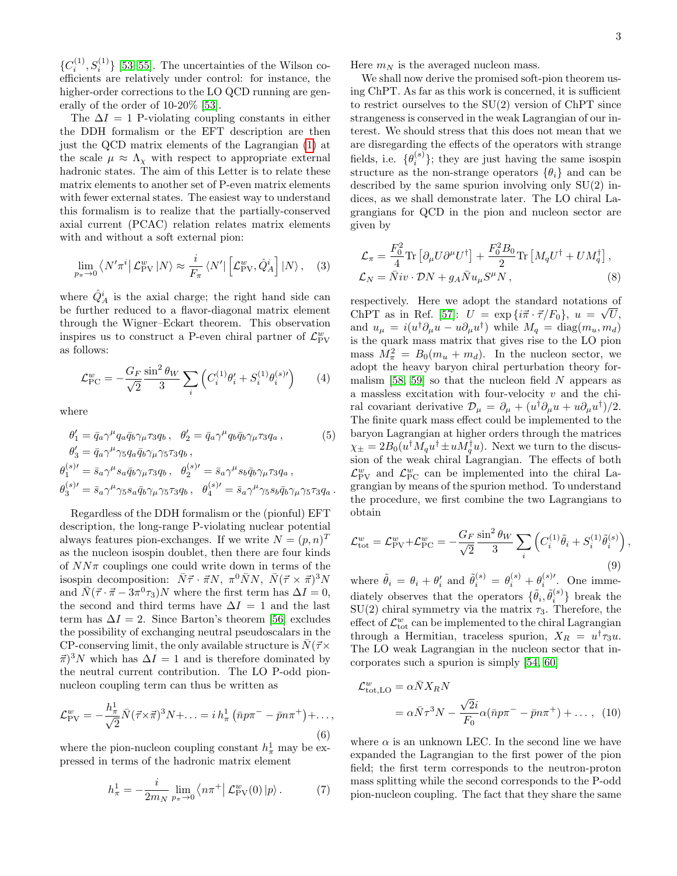${C_i^{(1)}, S_i^{(1)}}$  [\[53](#page-5-30)[–55\]](#page-5-32). The uncertainties of the Wilson coefficients are relatively under control: for instance, the higher-order corrections to the LO QCD running are generally of the order of 10-20% [\[53\]](#page-5-30).

The  $\Delta I = 1$  P-violating coupling constants in either the DDH formalism or the EFT description are then just the QCD matrix elements of the Lagrangian [\(1\)](#page-1-0) at the scale  $\mu \approx \Lambda_{\chi}$  with respect to appropriate external hadronic states. The aim of this Letter is to relate these matrix elements to another set of P-even matrix elements with fewer external states. The easiest way to understand this formalism is to realize that the partially-conserved axial current (PCAC) relation relates matrix elements with and without a soft external pion:

$$
\lim_{p_{\pi}\to 0} \left\langle N'\pi^i \middle| \mathcal{L}_{\text{PV}}^w \middle| N \right\rangle \approx \frac{i}{F_{\pi}} \left\langle N' \middle| \left[ \mathcal{L}_{\text{PV}}^w, \hat{Q}_A^i \right] \middle| N \right\rangle, \quad (3)
$$

where  $\hat{Q}^i_A$  is the axial charge; the right hand side can be further reduced to a flavor-diagonal matrix element through the Wigner–Eckart theorem. This observation inspires us to construct a P-even chiral partner of  $\mathcal{L}_{\text{PV}}^w$ as follows:

$$
\mathcal{L}_{\text{PC}}^{w} = -\frac{G_F}{\sqrt{2}} \frac{\sin^2 \theta_W}{3} \sum_{i} \left( C_i^{(1)} \theta_i' + S_i^{(1)} \theta_i^{(s)}' \right) \tag{4}
$$

where

$$
\theta_1' = \bar{q}_a \gamma^\mu q_a \bar{q}_b \gamma_\mu \tau_3 q_b, \quad \theta_2' = \bar{q}_a \gamma^\mu q_b \bar{q}_b \gamma_\mu \tau_3 q_a, \tag{5}
$$
\n
$$
\theta_3' = \bar{q}_a \gamma^\mu \gamma_5 q_a \bar{q}_b \gamma_\mu \gamma_5 \tau_3 q_b,
$$
\n
$$
\theta_1^{(s)'} = \bar{s}_a \gamma^\mu s_a \bar{q}_b \gamma_\mu \tau_3 q_b, \quad \theta_2^{(s)'} = \bar{s}_a \gamma^\mu s_b \bar{q}_b \gamma_\mu \tau_3 q_a,
$$
\n
$$
\theta_3^{(s)'} = \bar{s}_a \gamma^\mu \gamma_5 s_a \bar{q}_b \gamma_\mu \gamma_5 \tau_3 q_b, \quad \theta_4^{(s)'} = \bar{s}_a \gamma^\mu \gamma_5 s_b \bar{q}_b \gamma_\mu \gamma_5 \tau_3 q_a.
$$

Regardless of the DDH formalism or the (pionful) EFT description, the long-range P-violating nuclear potential always features pion-exchanges. If we write  $N = (p, n)^T$ as the nucleon isospin doublet, then there are four kinds of  $NN\pi$  couplings one could write down in terms of the isospin decomposition:  $\bar{N}\vec{\tau} \cdot \vec{\pi}N$ ,  $\pi^0 \bar{N}N$ ,  $\bar{N}(\vec{\tau} \times \vec{\pi})^3 N$ and  $\bar{N}(\vec{\tau} \cdot \vec{\pi} - 3\pi^0 \tau_3)N$  where the first term has  $\Delta I = 0$ , the second and third terms have  $\Delta I = 1$  and the last term has  $\Delta I = 2$ . Since Barton's theorem [\[56\]](#page-5-33) excludes the possibility of exchanging neutral pseudoscalars in the CP-conserving limit, the only available structure is  $\bar{N}(\vec{\tau})\times$  $\vec{\pi}$ <sup>3</sup>N which has  $\Delta I = 1$  and is therefore dominated by the neutral current contribution. The LO P-odd pionnucleon coupling term can thus be written as

$$
\mathcal{L}_{\text{PV}}^w = -\frac{h_{\pi}^1}{\sqrt{2}} \bar{N} (\vec{\tau} \times \vec{\pi})^3 N + \dots = i h_{\pi}^1 \left( \bar{n} p \pi^- - \bar{p} n \pi^+ \right) + \dots,
$$
\n(6)

where the pion-nucleon coupling constant  $h^1_\pi$  may be expressed in terms of the hadronic matrix element

$$
h_{\pi}^{1} = -\frac{i}{2m_{N}} \lim_{p_{\pi} \to 0} \left\langle n\pi^{+} \right| \mathcal{L}_{\text{PV}}^{w}(0) \left| p \right\rangle. \tag{7}
$$

,

Here  $m_N$  is the averaged nucleon mass.

We shall now derive the promised soft-pion theorem using ChPT. As far as this work is concerned, it is sufficient to restrict ourselves to the SU(2) version of ChPT since strangeness is conserved in the weak Lagrangian of our interest. We should stress that this does not mean that we are disregarding the effects of the operators with strange fields, i.e.  $\{\theta_i^{(s)}\}$ ; they are just having the same isospin structure as the non-strange operators  $\{\theta_i\}$  and can be described by the same spurion involving only  $SU(2)$  indices, as we shall demonstrate later. The LO chiral Lagrangians for QCD in the pion and nucleon sector are given by

$$
\mathcal{L}_{\pi} = \frac{F_0^2}{4} \text{Tr} \left[ \partial_{\mu} U \partial^{\mu} U^{\dagger} \right] + \frac{F_0^2 B_0}{2} \text{Tr} \left[ M_q U^{\dagger} + U M_q^{\dagger} \right],
$$
  
\n
$$
\mathcal{L}_N = \bar{N} i v \cdot \mathcal{D} N + g_A \bar{N} u_{\mu} S^{\mu} N, \tag{8}
$$

respectively. Here we adopt the standard notations of ChPT as in Ref. [\[57\]](#page-5-34):  $U = \exp{\{i\vec{\pi} \cdot \vec{\tau}/F_0\}}, u = \sqrt{U},$ and  $u_{\mu} = i(u^{\dagger} \partial_{\mu} u - u \partial_{\mu} u^{\dagger})$  while  $M_q = \text{diag}(m_u, m_d)$ is the quark mass matrix that gives rise to the LO pion mass  $M_{\pi}^2 = B_0(m_u + m_d)$ . In the nucleon sector, we adopt the heavy baryon chiral perturbation theory for-malism [\[58,](#page-5-35) [59\]](#page-5-36) so that the nucleon field  $N$  appears as a massless excitation with four-velocity  $v$  and the chiral covariant derivative  $\mathcal{D}_{\mu} = \partial_{\mu} + (u^{\dagger} \partial_{\mu} u + u \partial_{\mu} u^{\dagger})/2$ . The finite quark mass effect could be implemented to the baryon Lagrangian at higher orders through the matrices  $\chi_{\pm} = 2B_0(u^{\dagger}M_qu^{\dagger} \pm uM_q^{\dagger}u)$ . Next we turn to the discussion of the weak chiral Lagrangian. The effects of both  $\mathcal{L}_{\text{PV}}^{w}$  and  $\mathcal{L}_{\text{PC}}^{w}$  can be implemented into the chiral Lagrangian by means of the spurion method. To understand the procedure, we first combine the two Lagrangians to obtain

$$
\mathcal{L}_{\text{tot}}^w = \mathcal{L}_{\text{PV}}^w + \mathcal{L}_{\text{PC}}^w = -\frac{G_F}{\sqrt{2}} \frac{\sin^2 \theta_W}{3} \sum_i \left( C_i^{(1)} \tilde{\theta}_i + S_i^{(1)} \tilde{\theta}_i^{(s)} \right)
$$
\n(9)

where  $\tilde{\theta}_i = \theta_i + \theta'_i$  and  $\tilde{\theta}_i^{(s)} = \theta_i^{(s)} + \theta_i^{(s)'}$ . One immediately observes that the operators  $\{\tilde{\theta}_i, \tilde{\theta}_i^{(s)}\}$  break the  $SU(2)$  chiral symmetry via the matrix  $\tau_3$ . Therefore, the effect of  $\mathcal{L}_{\text{tot}}^w$  can be implemented to the chiral Lagrangian through a Hermitian, traceless spurion,  $X_R = u^{\dagger} \tau_3 u$ . The LO weak Lagrangian in the nucleon sector that incorporates such a spurion is simply [\[54,](#page-5-31) [60\]](#page-5-37)

$$
\mathcal{L}_{\text{tot,LO}}^{w} = \alpha \bar{N} X_R N
$$
  
=  $\alpha \bar{N} \tau^3 N - \frac{\sqrt{2}i}{F_0} \alpha (\bar{n} p \pi^- - \bar{p} n \pi^+) + \dots$ , (10)

where  $\alpha$  is an unknown LEC. In the second line we have expanded the Lagrangian to the first power of the pion field; the first term corresponds to the neutron-proton mass splitting while the second corresponds to the P-odd pion-nucleon coupling. The fact that they share the same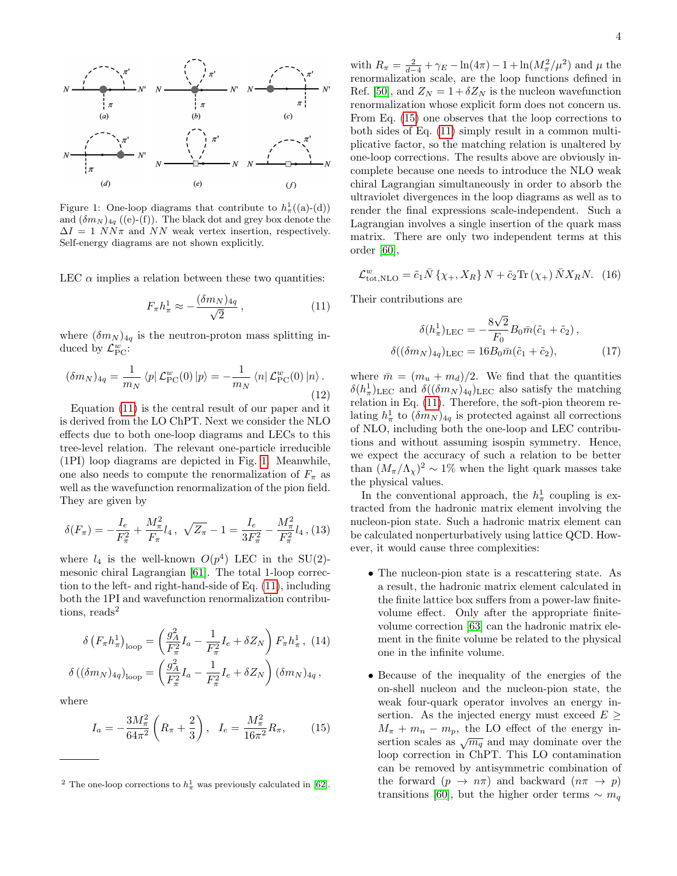

<span id="page-3-1"></span>Figure 1: One-loop diagrams that contribute to  $h^1_\pi((a)-(d))$ and  $(\delta m_N)_{4q}$  ((e)-(f)). The black dot and grey box denote the  $\Delta I = 1 \; NN\pi$  and NN weak vertex insertion, respectively. Self-energy diagrams are not shown explicitly.

LEC  $\alpha$  implies a relation between these two quantities:

<span id="page-3-0"></span>
$$
F_{\pi}h_{\pi}^{1} \approx -\frac{(\delta m_{N})_{4q}}{\sqrt{2}}\,,\tag{11}
$$

where  $(\delta m_N)_{4q}$  is the neutron-proton mass splitting induced by  $\mathcal{L}_{\text{PC}}^{w}$ :

$$
(\delta m_N)_{4q} = \frac{1}{m_N} \left\langle p \right| \mathcal{L}_{\text{PC}}^w(0) \left| p \right\rangle = -\frac{1}{m_N} \left\langle n \right| \mathcal{L}_{\text{PC}}^w(0) \left| n \right\rangle. \tag{12}
$$

Equation [\(11\)](#page-3-0) is the central result of our paper and it is derived from the LO ChPT. Next we consider the NLO effects due to both one-loop diagrams and LECs to this tree-level relation. The relevant one-particle irreducible (1PI) loop diagrams are depicted in Fig. [1.](#page-3-1) Meanwhile, one also needs to compute the renormalization of  $F_{\pi}$  as well as the wavefunction renormalization of the pion field. They are given by

$$
\delta(F_{\pi}) = -\frac{I_e}{F_{\pi}^2} + \frac{M_{\pi}^2}{F_{\pi}} l_4 \,, \, \sqrt{Z_{\pi}} - 1 = \frac{I_e}{3F_{\pi}^2} - \frac{M_{\pi}^2}{F_{\pi}^2} l_4 \,, (13)
$$

where  $l_4$  is the well-known  $O(p^4)$  LEC in the SU(2)mesonic chiral Lagrangian [\[61\]](#page-5-38). The total 1-loop correction to the left- and right-hand-side of Eq. [\(11\)](#page-3-0), including both the 1PI and wavefunction renormalization contributions, reads<sup>2</sup>

<span id="page-3-2"></span>
$$
\delta \left( F_{\pi} h_{\pi}^{1} \right)_{\text{loop}} = \left( \frac{g_{A}^{2}}{F_{\pi}^{2}} I_{a} - \frac{1}{F_{\pi}^{2}} I_{e} + \delta Z_{N} \right) F_{\pi} h_{\pi}^{1}, (14)
$$

$$
\delta \left( (\delta m_{N})_{4q} \right)_{\text{loop}} = \left( \frac{g_{A}^{2}}{F_{\pi}^{2}} I_{a} - \frac{1}{F_{\pi}^{2}} I_{e} + \delta Z_{N} \right) (\delta m_{N})_{4q},
$$

where

$$
I_a = -\frac{3M_\pi^2}{64\pi^2} \left( R_\pi + \frac{2}{3} \right), \quad I_e = \frac{M_\pi^2}{16\pi^2} R_\pi, \tag{15}
$$

with  $R_{\pi} = \frac{2}{d-4} + \gamma_E - \ln(4\pi) - 1 + \ln(M_{\pi}^2/\mu^2)$  and  $\mu$  the renormalization scale, are the loop functions defined in Ref. [\[50\]](#page-5-40), and  $Z_N = 1 + \delta Z_N$  is the nucleon wavefunction renormalization whose explicit form does not concern us. From Eq. [\(15\)](#page-3-2) one observes that the loop corrections to both sides of Eq. [\(11\)](#page-3-0) simply result in a common multiplicative factor, so the matching relation is unaltered by one-loop corrections. The results above are obviously incomplete because one needs to introduce the NLO weak chiral Lagrangian simultaneously in order to absorb the ultraviolet divergences in the loop diagrams as well as to render the final expressions scale-independent. Such a Lagrangian involves a single insertion of the quark mass matrix. There are only two independent terms at this order [\[60\]](#page-5-37),

$$
\mathcal{L}_{\text{tot},\text{NLO}}^w = \tilde{c}_1 \bar{N} \left\{ \chi_+, X_R \right\} N + \tilde{c}_2 \text{Tr} \left( \chi_+ \right) \bar{N} X_R N. \tag{16}
$$

Their contributions are

$$
\delta(h_{\pi}^1)_{\text{LEC}} = -\frac{8\sqrt{2}}{F_0} B_0 \bar{m} (\tilde{c}_1 + \tilde{c}_2),
$$
  

$$
\delta((\delta m_N)_{4q})_{\text{LEC}} = 16 B_0 \bar{m} (\tilde{c}_1 + \tilde{c}_2),
$$
 (17)

where  $\bar{m} = (m_u + m_d)/2$ . We find that the quantities  $\delta(h_{\pi}^1)$ <sub>LEC</sub> and  $\delta((\delta m_N)_{4q})$ <sub>LEC</sub> also satisfy the matching relation in Eq. [\(11\)](#page-3-0). Therefore, the soft-pion theorem relating  $h_{\pi}^1$  to  $(\delta m_N)_{4q}$  is protected against all corrections of NLO, including both the one-loop and LEC contributions and without assuming isospin symmetry. Hence, we expect the accuracy of such a relation to be better than  $(M_{\pi}/\Lambda_{\chi})^2 \sim 1\%$  when the light quark masses take the physical values.

In the conventional approach, the  $h^1_\pi$  coupling is extracted from the hadronic matrix element involving the nucleon-pion state. Such a hadronic matrix element can be calculated nonperturbatively using lattice QCD. However, it would cause three complexities:

- The nucleon-pion state is a rescattering state. As a result, the hadronic matrix element calculated in the finite lattice box suffers from a power-law finitevolume effect. Only after the appropriate finitevolume correction [\[63\]](#page-5-41) can the hadronic matrix element in the finite volume be related to the physical one in the infinite volume.
- Because of the inequality of the energies of the on-shell nucleon and the nucleon-pion state, the weak four-quark operator involves an energy insertion. As the injected energy must exceed  $E \ge$  $M_{\pi} + m_{n} - m_{p}$ , the LO effect of the energy insertion scales as  $\sqrt{m_q}$  and may dominate over the loop correction in ChPT. This LO contamination can be removed by antisymmetric combination of the forward  $(p \to n\pi)$  and backward  $(n\pi \to p)$ transitions [\[60\]](#page-5-37), but the higher order terms  $\sim m_q$

<sup>&</sup>lt;sup>2</sup> The one-loop corrections to  $h_{\pi}^1$  was previously calculated in [\[62\]](#page-5-39).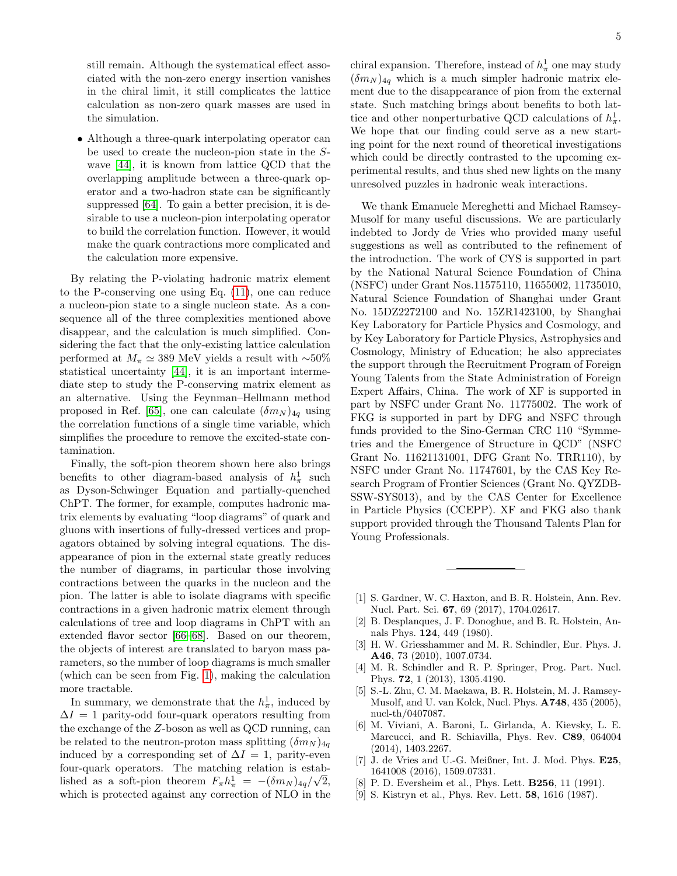still remain. Although the systematical effect associated with the non-zero energy insertion vanishes in the chiral limit, it still complicates the lattice calculation as non-zero quark masses are used in the simulation.

• Although a three-quark interpolating operator can be used to create the nucleon-pion state in the Swave [\[44\]](#page-5-25), it is known from lattice QCD that the overlapping amplitude between a three-quark operator and a two-hadron state can be significantly suppressed [\[64\]](#page-5-42). To gain a better precision, it is desirable to use a nucleon-pion interpolating operator to build the correlation function. However, it would make the quark contractions more complicated and the calculation more expensive.

By relating the P-violating hadronic matrix element to the P-conserving one using Eq. [\(11\)](#page-3-0), one can reduce a nucleon-pion state to a single nucleon state. As a consequence all of the three complexities mentioned above disappear, and the calculation is much simplified. Considering the fact that the only-existing lattice calculation performed at  $M_{\pi} \simeq 389$  MeV yields a result with ~50% statistical uncertainty [\[44\]](#page-5-25), it is an important intermediate step to study the P-conserving matrix element as an alternative. Using the Feynman–Hellmann method proposed in Ref. [\[65\]](#page-5-43), one can calculate  $(\delta m_N)_{4q}$  using the correlation functions of a single time variable, which simplifies the procedure to remove the excited-state contamination.

Finally, the soft-pion theorem shown here also brings benefits to other diagram-based analysis of  $h_{\pi}^1$  such as Dyson-Schwinger Equation and partially-quenched ChPT. The former, for example, computes hadronic matrix elements by evaluating "loop diagrams" of quark and gluons with insertions of fully-dressed vertices and propagators obtained by solving integral equations. The disappearance of pion in the external state greatly reduces the number of diagrams, in particular those involving contractions between the quarks in the nucleon and the pion. The latter is able to isolate diagrams with specific contractions in a given hadronic matrix element through calculations of tree and loop diagrams in ChPT with an extended flavor sector [\[66–](#page-5-44)[68\]](#page-5-45). Based on our theorem, the objects of interest are translated to baryon mass parameters, so the number of loop diagrams is much smaller (which can be seen from Fig. [1\)](#page-3-1), making the calculation more tractable.

In summary, we demonstrate that the  $h_{\pi}^1$ , induced by  $\Delta I = 1$  parity-odd four-quark operators resulting from the exchange of the Z-boson as well as QCD running, can be related to the neutron-proton mass splitting  $(\delta m_N)_{4q}$ induced by a corresponding set of  $\Delta I = 1$ , parity-even four-quark operators. The matching relation is established as a soft-pion theorem  $F_{\pi}h_{\pi}^1 = -(\delta m_N)_{4q}/\sqrt{2}$ , which is protected against any correction of NLO in the

chiral expansion. Therefore, instead of  $h_{\pi}^1$  one may study  $(\delta m_N)_{4q}$  which is a much simpler hadronic matrix element due to the disappearance of pion from the external state. Such matching brings about benefits to both lattice and other nonperturbative QCD calculations of  $h^1_\pi$ . We hope that our finding could serve as a new starting point for the next round of theoretical investigations which could be directly contrasted to the upcoming experimental results, and thus shed new lights on the many unresolved puzzles in hadronic weak interactions.

We thank Emanuele Mereghetti and Michael Ramsey-Musolf for many useful discussions. We are particularly indebted to Jordy de Vries who provided many useful suggestions as well as contributed to the refinement of the introduction. The work of CYS is supported in part by the National Natural Science Foundation of China (NSFC) under Grant Nos.11575110, 11655002, 11735010, Natural Science Foundation of Shanghai under Grant No. 15DZ2272100 and No. 15ZR1423100, by Shanghai Key Laboratory for Particle Physics and Cosmology, and by Key Laboratory for Particle Physics, Astrophysics and Cosmology, Ministry of Education; he also appreciates the support through the Recruitment Program of Foreign Young Talents from the State Administration of Foreign Expert Affairs, China. The work of XF is supported in part by NSFC under Grant No. 11775002. The work of FKG is supported in part by DFG and NSFC through funds provided to the Sino-German CRC 110 "Symmetries and the Emergence of Structure in QCD" (NSFC Grant No. 11621131001, DFG Grant No. TRR110), by NSFC under Grant No. 11747601, by the CAS Key Research Program of Frontier Sciences (Grant No. QYZDB-SSW-SYS013), and by the CAS Center for Excellence in Particle Physics (CCEPP). XF and FKG also thank support provided through the Thousand Talents Plan for Young Professionals.

- <span id="page-4-0"></span>[1] S. Gardner, W. C. Haxton, and B. R. Holstein, Ann. Rev. Nucl. Part. Sci. 67, 69 (2017), 1704.02617.
- <span id="page-4-1"></span>[2] B. Desplanques, J. F. Donoghue, and B. R. Holstein, Annals Phys. 124, 449 (1980).
- <span id="page-4-2"></span>[3] H. W. Griesshammer and M. R. Schindler, Eur. Phys. J. A46, 73 (2010), 1007.0734.
- <span id="page-4-3"></span>[4] M. R. Schindler and R. P. Springer, Prog. Part. Nucl. Phys. 72, 1 (2013), 1305.4190.
- <span id="page-4-4"></span>[5] S.-L. Zhu, C. M. Maekawa, B. R. Holstein, M. J. Ramsey-Musolf, and U. van Kolck, Nucl. Phys. A748, 435 (2005), nucl-th/0407087.
- <span id="page-4-7"></span>[6] M. Viviani, A. Baroni, L. Girlanda, A. Kievsky, L. E. Marcucci, and R. Schiavilla, Phys. Rev. C89, 064004 (2014), 1403.2267.
- <span id="page-4-5"></span>[7] J. de Vries and U.-G. Meißner, Int. J. Mod. Phys. E25, 1641008 (2016), 1509.07331.
- <span id="page-4-6"></span>[8] P. D. Eversheim et al., Phys. Lett. **B256**, 11 (1991).
- [9] S. Kistryn et al., Phys. Rev. Lett. 58, 1616 (1987).